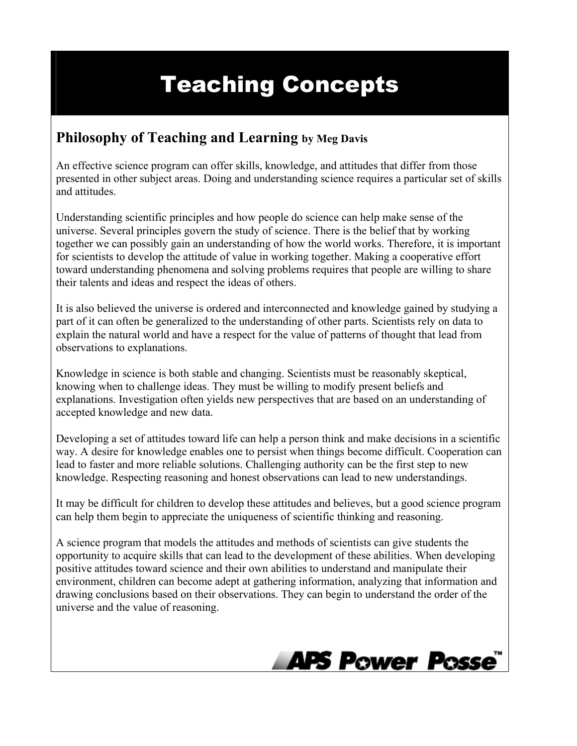## Teaching Concepts

## **Philosophy of Teaching and Learning by Meg Davis**

An effective science program can offer skills, knowledge, and attitudes that differ from those presented in other subject areas. Doing and understanding science requires a particular set of skills and attitudes.

Understanding scientific principles and how people do science can help make sense of the universe. Several principles govern the study of science. There is the belief that by working together we can possibly gain an understanding of how the world works. Therefore, it is important for scientists to develop the attitude of value in working together. Making a cooperative effort toward understanding phenomena and solving problems requires that people are willing to share their talents and ideas and respect the ideas of others.

It is also believed the universe is ordered and interconnected and knowledge gained by studying a part of it can often be generalized to the understanding of other parts. Scientists rely on data to explain the natural world and have a respect for the value of patterns of thought that lead from observations to explanations.

Knowledge in science is both stable and changing. Scientists must be reasonably skeptical, knowing when to challenge ideas. They must be willing to modify present beliefs and explanations. Investigation often yields new perspectives that are based on an understanding of accepted knowledge and new data.

Developing a set of attitudes toward life can help a person think and make decisions in a scientific way. A desire for knowledge enables one to persist when things become difficult. Cooperation can lead to faster and more reliable solutions. Challenging authority can be the first step to new knowledge. Respecting reasoning and honest observations can lead to new understandings.

It may be difficult for children to develop these attitudes and believes, but a good science program can help them begin to appreciate the uniqueness of scientific thinking and reasoning.

A science program that models the attitudes and methods of scientists can give students the opportunity to acquire skills that can lead to the development of these abilities. When developing positive attitudes toward science and their own abilities to understand and manipulate their environment, children can become adept at gathering information, analyzing that information and drawing conclusions based on their observations. They can begin to understand the order of the universe and the value of reasoning.